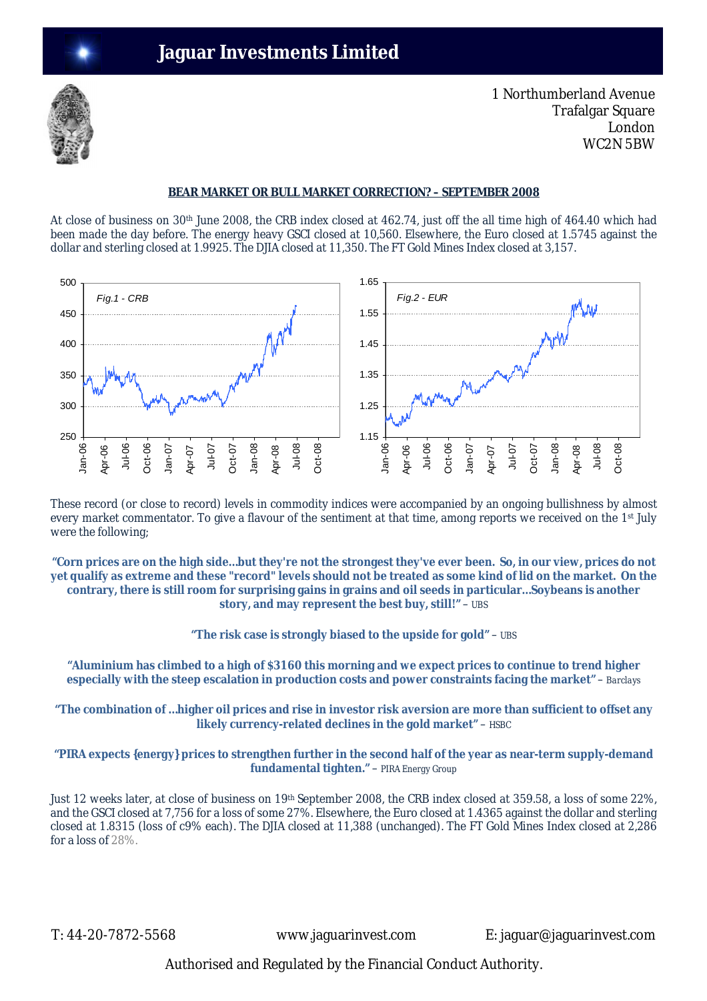

1 Northumberland Avenue Trafalgar Square London WC2N 5BW

# **BEAR MARKET OR BULL MARKET CORRECTION? – SEPTEMBER 2008**

At close of business on 30th June 2008, the CRB index closed at 462.74, just off the all time high of 464.40 which had been made the day before. The energy heavy GSCI closed at 10,560. Elsewhere, the Euro closed at 1.5745 against the dollar and sterling closed at 1.9925. The DJIA closed at 11,350. The FT Gold Mines Index closed at 3,157.



These record (or close to record) levels in commodity indices were accompanied by an ongoing bullishness by almost every market commentator. To give a flavour of the sentiment at that time, among reports we received on the 1st July were the following;

**"Corn prices are on the high side…but they're not the strongest they've ever been. So, in our view, prices do not yet qualify as extreme and these "record" levels should not be treated as some kind of lid on the market. On the contrary, there is still room for surprising gains in grains and oil seeds in particular…Soybeans is another story, and may represent the best buy, still!"** – *UBS*

**"The risk case is strongly biased to the upside for gold"** – *UBS*

**"Aluminium has climbed to a high of \$3160 this morning and we expect prices to continue to trend higher especially with the steep escalation in production costs and power constraints facing the market"** – *Barclays*

**"The combination of …higher oil prices and rise in investor risk aversion are more than sufficient to offset any likely currency-related declines in the gold market"** – *HSBC*

**"PIRA expects {***energy***} prices to strengthen further in the second half of the year as near-term supply-demand fundamental tighten."** – *PIRA Energy Group*

Just 12 weeks later, at close of business on 19th September 2008, the CRB index closed at 359.58, a loss of some 22%, and the GSCI closed at 7,756 for a loss of some 27%. Elsewhere, the Euro closed at 1.4365 against the dollar and sterling closed at 1.8315 (loss of c9% each). The DJIA closed at 11,388 (unchanged). The FT Gold Mines Index closed at 2,286 for a loss of 28%.

T: 44-20-7872-5568 www.jaguarinvest.com E: jaguar@jaguarinvest.com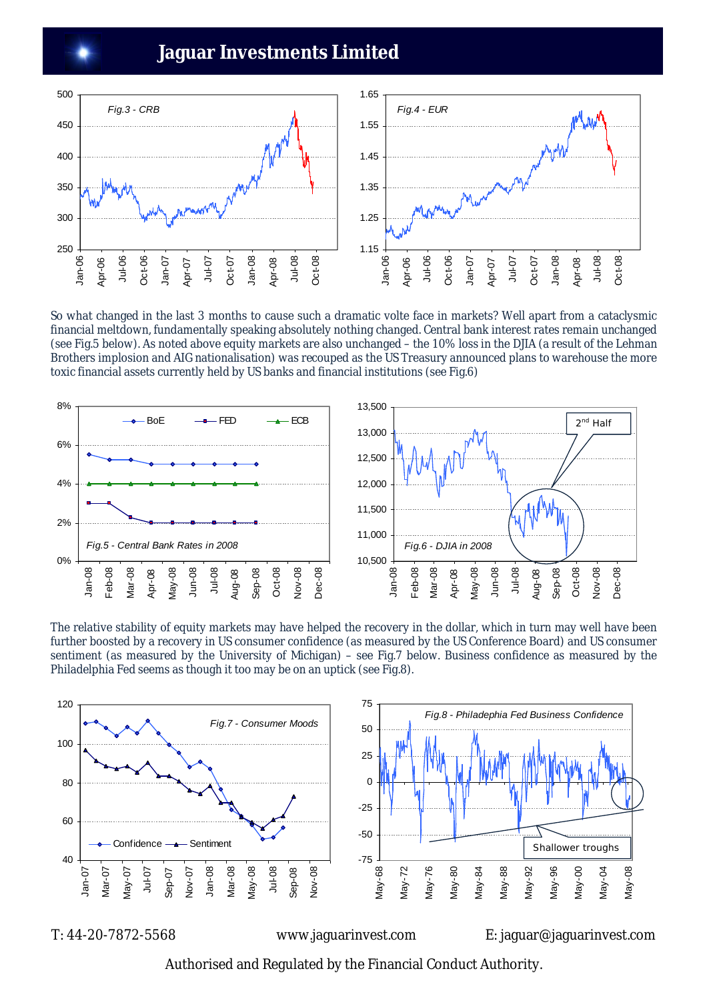

So what changed in the last 3 months to cause such a dramatic volte face in markets? Well apart from a cataclysmic financial meltdown, fundamentally speaking absolutely nothing changed. Central bank interest rates remain unchanged (see Fig.5 below). As noted above equity markets are also unchanged – the 10% loss in the DJIA (a result of the Lehman Brothers implosion and AIG nationalisation) was recouped as the US Treasury announced plans to warehouse the more toxic financial assets currently held by US banks and financial institutions (see Fig.6)



The relative stability of equity markets may have helped the recovery in the dollar, which in turn may well have been further boosted by a recovery in US consumer confidence (as measured by the US Conference Board) and US consumer sentiment (as measured by the University of Michigan) – see Fig.7 below. Business confidence as measured by the Philadelphia Fed seems as though it too may be on an uptick (see Fig.8).



T: 44-20-7872-5568 www.jaguarinvest.com E: jaguar@jaguarinvest.com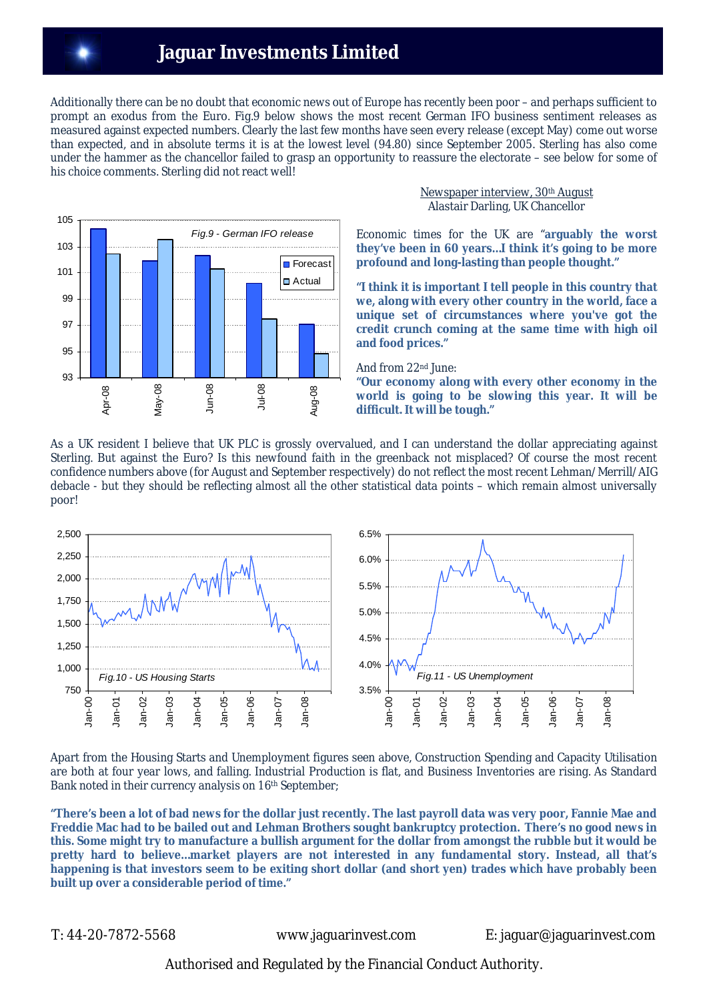Additionally there can be no doubt that economic news out of Europe has recently been poor – and perhaps sufficient to prompt an exodus from the Euro. Fig.9 below shows the most recent German IFO business sentiment releases as measured against expected numbers. Clearly the last few months have seen every release (except May) come out worse than expected, and in absolute terms it is at the lowest level (94.80) since September 2005. Sterling has also come under the hammer as the chancellor failed to grasp an opportunity to reassure the electorate – see below for some of his choice comments. Sterling did not react well!



## Newspaper interview, 30th August Alastair Darling, UK Chancellor

Economic times for the UK are "**arguably the worst they've been in 60 years…I think it's going to be more profound and long-lasting than people thought."**

**"I think it is important I tell people in this country that we, along with every other country in the world, face a unique set of circumstances where you've got the credit crunch coming at the same time with high oil and food prices."**

And from 22nd June:

**"Our economy along with every other economy in the world is going to be slowing this year. It will be difficult. It will be tough."**

As a UK resident I believe that UK PLC is grossly overvalued, and I can understand the dollar appreciating against Sterling. But against the Euro? Is this newfound faith in the greenback not misplaced? Of course the most recent confidence numbers above (for August and September respectively) do not reflect the most recent Lehman/Merrill/AIG debacle - but they should be reflecting almost all the other statistical data points – which remain almost universally poor!



Apart from the Housing Starts and Unemployment figures seen above, Construction Spending and Capacity Utilisation are both at four year lows, and falling. Industrial Production is flat, and Business Inventories are rising. As Standard Bank noted in their currency analysis on 16<sup>th</sup> September;

**"There's been a lot of bad news for the dollar just recently. The last payroll data was very poor, Fannie Mae and Freddie Mac had to be bailed out and Lehman Brothers sought bankruptcy protection. There's no good news in this. Some might try to manufacture a bullish argument for the dollar from amongst the rubble but it would be pretty hard to believe…market players are not interested in any fundamental story. Instead, all that's happening is that investors seem to be exiting short dollar (and short yen) trades which have probably been built up over a considerable period of time."**

T: 44-20-7872-5568 www.jaguarinvest.com E: jaguar@jaguarinvest.com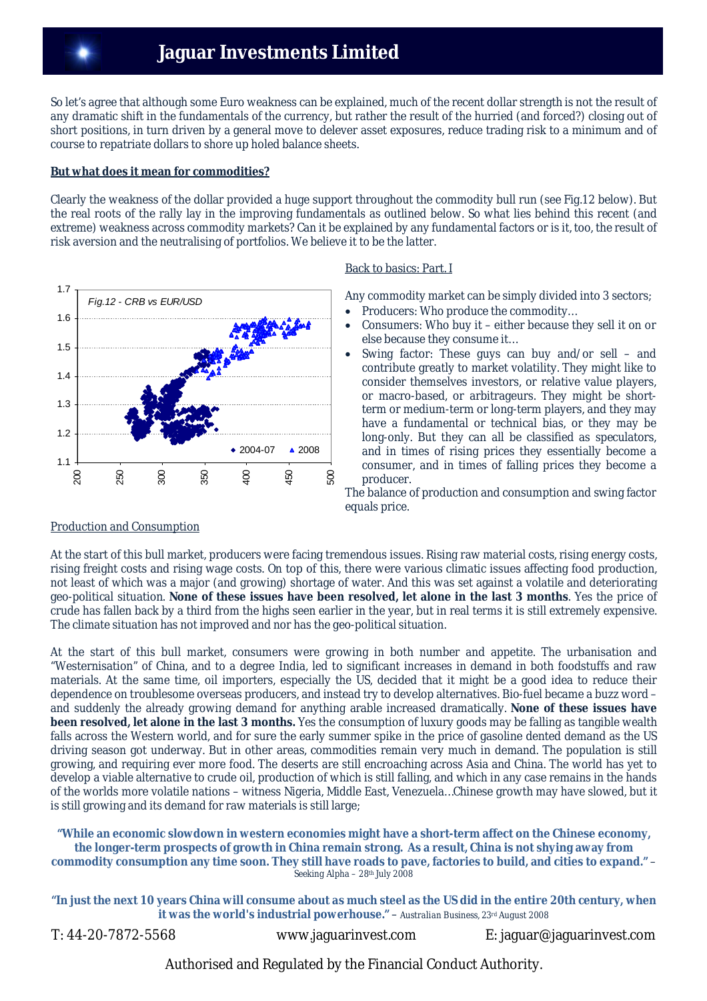So let's agree that although some Euro weakness can be explained, much of the recent dollar strength is not the result of any dramatic shift in the fundamentals of the currency, but rather the result of the hurried (and forced?) closing out of short positions, in turn driven by a general move to delever asset exposures, reduce trading risk to a minimum and of course to repatriate dollars to shore up holed balance sheets.

## **But what does it mean for commodities?**

Clearly the weakness of the dollar provided a huge support throughout the commodity bull run (see Fig.12 below). But the real roots of the rally lay in the improving fundamentals as outlined below. So what lies behind this recent (and extreme) weakness across commodity markets? Can it be explained by any fundamental factors or is it, too, the result of risk aversion and the neutralising of portfolios. We believe it to be the latter.



## Back to basics: Part. I

Any commodity market can be simply divided into 3 sectors;

- Producers: Who produce the commodity…
- Consumers: Who buy it either because they sell it on or else because they consume it…
- Swing factor: These guys can buy and/or sell and contribute greatly to market volatility. They might like to consider themselves investors, or relative value players, or macro-based, or arbitrageurs. They might be shortterm or medium-term or long-term players, and they may have a fundamental or technical bias, or they may be long-only. But they can all be classified as speculators, and in times of rising prices they essentially become a consumer, and in times of falling prices they become a producer.

The balance of production and consumption and swing factor equals price.

# Production and Consumption

At the start of this bull market, producers were facing tremendous issues. Rising raw material costs, rising energy costs, rising freight costs and rising wage costs. On top of this, there were various climatic issues affecting food production, not least of which was a major (and growing) shortage of water. And this was set against a volatile and deteriorating geo-political situation. **None of these issues have been resolved, let alone in the last 3 months**. Yes the price of crude has fallen back by a third from the highs seen earlier in the year, but in real terms it is still extremely expensive. The climate situation has not improved and nor has the geo-political situation.

At the start of this bull market, consumers were growing in both number and appetite. The urbanisation and "Westernisation" of China, and to a degree India, led to significant increases in demand in both foodstuffs and raw materials. At the same time, oil importers, especially the US, decided that it might be a good idea to reduce their dependence on troublesome overseas producers, and instead try to develop alternatives. Bio-fuel became a buzz word – and suddenly the already growing demand for anything arable increased dramatically. **None of these issues have been resolved, let alone in the last 3 months.** Yes the consumption of luxury goods may be falling as tangible wealth falls across the Western world, and for sure the early summer spike in the price of gasoline dented demand as the US driving season got underway. But in other areas, commodities remain very much in demand. The population is still growing, and requiring ever more food. The deserts are still encroaching across Asia and China. The world has yet to develop a viable alternative to crude oil, production of which is still falling, and which in any case remains in the hands of the worlds more volatile nations – witness Nigeria, Middle East, Venezuela…Chinese growth may have slowed, but it is still growing and its demand for raw materials is still large;

#### **"While an economic slowdown in western economies might have a short-term affect on the Chinese economy, the longer-term prospects of growth in China remain strong. As a result, China is not shying away from commodity consumption any time soon. They still have roads to pave, factories to build, and cities to expand."** – *Seeking Alpha – 28th July 2008*

**"In just the next 10 years China will consume about as much steel as the US did in the entire 20th century, when it was the world's industrial powerhouse."** – *Australian Business, 23rd August 2008*

T: 44-20-7872-5568 www.jaguarinvest.com E: jaguar@jaguarinvest.com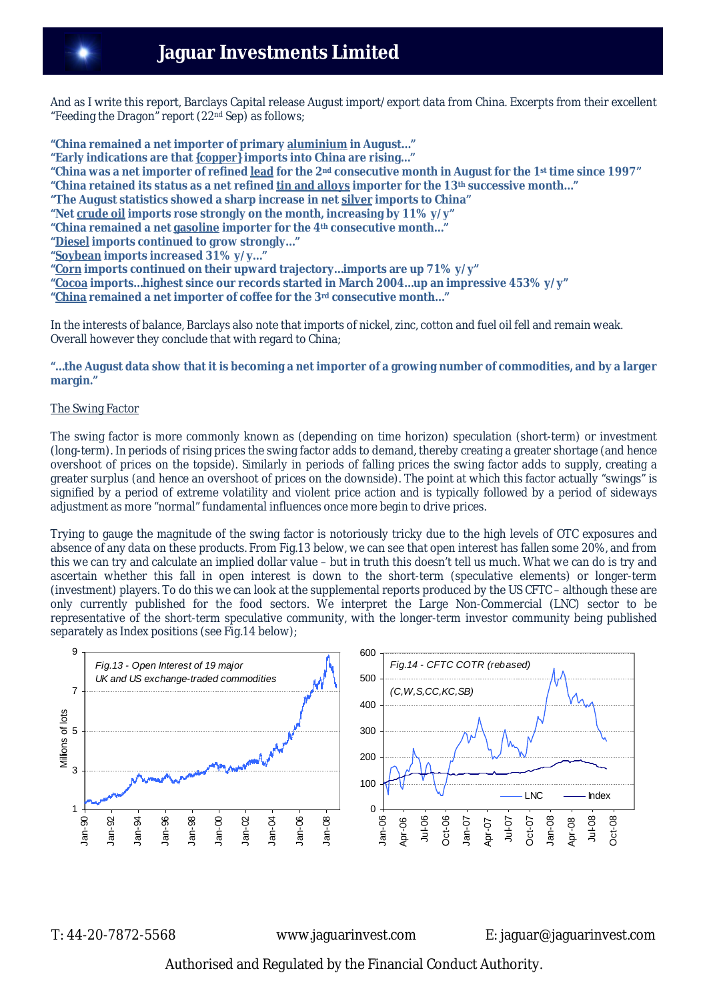And as I write this report, Barclays Capital release August import/export data from China. Excerpts from their excellent "Feeding the Dragon" report (22nd Sep) as follows;

**"China remained a net importer of primary aluminium in August…"**

- **"Early indications are that** *{copper}* **imports into China are rising…"**
- **"China was a net importer of refined lead for the 2nd consecutive month in August for the 1st time since 1997"**
- **"China retained its status as a net refined tin and alloys importer for the 13th successive month…"**
- **"The August statistics showed a sharp increase in net silver imports to China"**

**"Net crude oil imports rose strongly on the month, increasing by 11% y/y"**

- **"China remained a net gasoline importer for the 4th consecutive month…"**
- **"Diesel imports continued to grow strongly…"**
- **"Soybean imports increased 31% y/y…"**
- **"Corn imports continued on their upward trajectory…imports are up 71% y/y"**
- **"Cocoa imports…highest since our records started in March 2004…up an impressive 453% y/y"**
- **"China remained a net importer of coffee for the 3rd consecutive month…"**

In the interests of balance, Barclays also note that imports of nickel, zinc, cotton and fuel oil fell and remain weak. Overall however they conclude that with regard to China;

#### **"…the August data show that it is becoming a net importer of a growing number of commodities, and by a larger margin."**

#### The Swing Factor

The swing factor is more commonly known as (depending on time horizon) speculation (short-term) or investment (long-term). In periods of rising prices the swing factor adds to demand, thereby creating a greater shortage (and hence overshoot of prices on the topside). Similarly in periods of falling prices the swing factor adds to supply, creating a greater surplus (and hence an overshoot of prices on the downside). The point at which this factor actually "swings" is signified by a period of extreme volatility and violent price action and is typically followed by a period of sideways adjustment as more "normal" fundamental influences once more begin to drive prices.

Trying to gauge the magnitude of the swing factor is notoriously tricky due to the high levels of OTC exposures and absence of any data on these products. From Fig.13 below, we can see that open interest has fallen some 20%, and from this we can try and calculate an implied dollar value – but in truth this doesn't tell us much. What we can do is try and ascertain whether this fall in open interest is down to the short-term (speculative elements) or longer-term (investment) players. To do this we can look at the supplemental reports produced by the US CFTC – although these are only currently published for the food sectors. We interpret the Large Non-Commercial (LNC) sector to be representative of the short-term speculative community, with the longer-term investor community being published separately as Index positions (see Fig.14 below);



T: 44-20-7872-5568 www.jaguarinvest.com E: jaguar@jaguarinvest.com